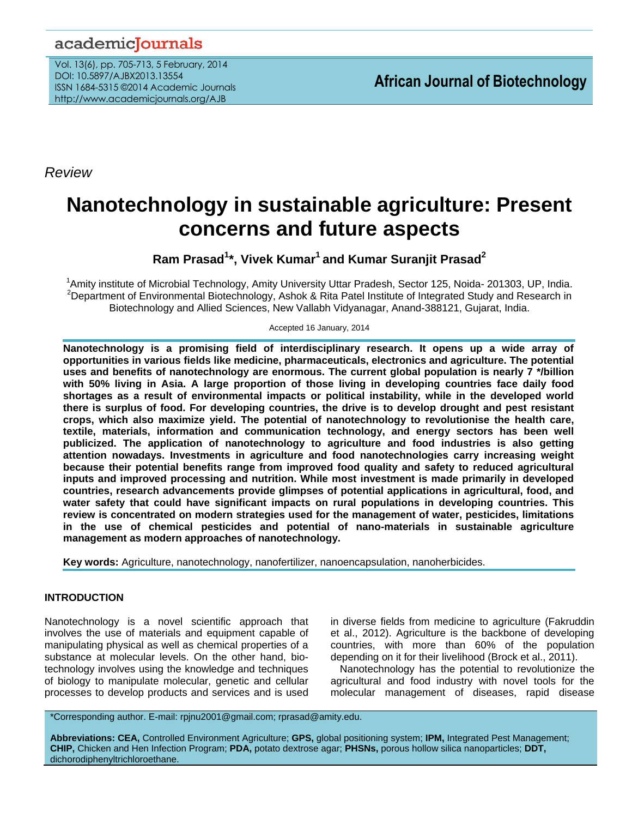# academicJournals

Vol. 13(6), pp. 705-713, 5 February, 2014 DOI: 10.5897/AJBX2013.13554 ISSN 1684-5315 ©2014 Academic Journals http://www.academicjournals.org/AJB

*Review*

# **Nanotechnology in sustainable agriculture: Present concerns and future aspects**

**Ram Prasad<sup>1</sup> \*, Vivek Kumar<sup>1</sup>and Kumar Suranjit Prasad<sup>2</sup>**

<sup>1</sup>Amity institute of Microbial Technology, Amity University Uttar Pradesh, Sector 125, Noida- 201303, UP, India. <sup>2</sup>Department of Environmental Biotechnology, Ashok & Rita Patel Institute of Integrated Study and Research in Biotechnology and Allied Sciences, New Vallabh Vidyanagar, Anand-388121, Gujarat, India.

Accepted 16 January, 2014

**Nanotechnology is a promising field of interdisciplinary research. It opens up a wide array of opportunities in various fields like medicine, pharmaceuticals, electronics and agriculture. The potential uses and benefits of nanotechnology are enormous. The current global population is nearly 7 \*/billion with 50% living in Asia. A large proportion of those living in developing countries face daily food shortages as a result of environmental impacts or political instability, while in the developed world there is surplus of food. For developing countries, the drive is to develop drought and pest resistant crops, which also maximize yield. The potential of nanotechnology to revolutionise the health care, textile, materials, information and communication technology, and energy sectors has been well publicized. The application of nanotechnology to agriculture and food industries is also getting attention nowadays. Investments in agriculture and food nanotechnologies carry increasing weight because their potential benefits range from improved food quality and safety to reduced agricultural inputs and improved processing and nutrition. While most investment is made primarily in developed countries, research advancements provide glimpses of potential applications in agricultural, food, and water safety that could have significant impacts on rural populations in developing countries. This review is concentrated on modern strategies used for the management of water, pesticides, limitations in the use of chemical pesticides and potential of nano-materials in sustainable agriculture management as modern approaches of nanotechnology.**

**Key words:** Agriculture, nanotechnology, nanofertilizer, nanoencapsulation, nanoherbicides.

# **INTRODUCTION**

Nanotechnology is a novel scientific approach that involves the use of materials and equipment capable of manipulating physical as well as chemical properties of a substance at molecular levels. On the other hand, biotechnology involves using the knowledge and techniques of biology to manipulate molecular, genetic and cellular processes to develop products and services and is used in diverse fields from medicine to agriculture (Fakruddin et al., 2012). Agriculture is the backbone of developing countries, with more than 60% of the population depending on it for their livelihood (Brock et al., 2011).

Nanotechnology has the potential to revolutionize the agricultural and food industry with novel tools for the molecular management of diseases, rapid disease

\*Corresponding author. E-mail: rpjnu2001@gmail.com; rprasad@amity.edu.

**Abbreviations: CEA,** Controlled Environment Agriculture; **GPS,** global positioning system; **IPM,** Integrated Pest Management; **CHIP,** Chicken and Hen Infection Program; **PDA,** potato dextrose agar; **PHSNs,** porous hollow silica nanoparticles; **DDT,** dichorodiphenyltrichloroethane.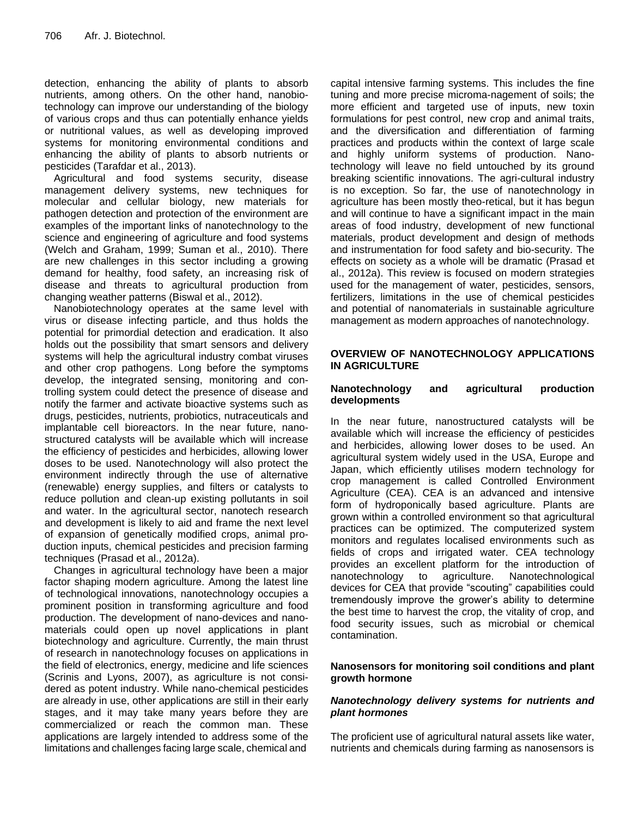detection, enhancing the ability of plants to absorb nutrients, among others. On the other hand, nanobiotechnology can improve our understanding of the biology of various crops and thus can potentially enhance yields or nutritional values, as well as developing improved systems for monitoring environmental conditions and enhancing the ability of plants to absorb nutrients or pesticides (Tarafdar et al., 2013).

Agricultural and food systems security, disease management delivery systems, new techniques for molecular and cellular biology, new materials for pathogen detection and protection of the environment are examples of the important links of nanotechnology to the science and engineering of agriculture and food systems (Welch and Graham, 1999; Suman et al., 2010). There are new challenges in this sector including a growing demand for healthy, food safety, an increasing risk of disease and threats to agricultural production from changing weather patterns (Biswal et al., 2012).

Nanobiotechnology operates at the same level with virus or disease infecting particle, and thus holds the potential for primordial detection and eradication. It also holds out the possibility that smart sensors and delivery systems will help the agricultural industry combat viruses and other crop pathogens. Long before the symptoms develop, the integrated sensing, monitoring and controlling system could detect the presence of disease and notify the farmer and activate bioactive systems such as drugs, pesticides, nutrients, probiotics, nutraceuticals and implantable cell bioreactors. In the near future, nanostructured catalysts will be available which will increase the efficiency of pesticides and herbicides, allowing lower doses to be used. Nanotechnology will also protect the environment indirectly through the use of alternative (renewable) energy supplies, and filters or catalysts to reduce pollution and clean-up existing pollutants in soil and water. In the agricultural sector, nanotech research and development is likely to aid and frame the next level of expansion of genetically modified crops, animal production inputs, chemical pesticides and precision farming techniques (Prasad et al., 2012a).

Changes in agricultural technology have been a major factor shaping modern agriculture. Among the latest line of technological innovations, nanotechnology occupies a prominent position in transforming agriculture and food production. The development of nano-devices and nanomaterials could open up novel applications in plant biotechnology and agriculture. Currently, the main thrust of research in nanotechnology focuses on applications in the field of electronics, energy, medicine and life sciences (Scrinis and Lyons, 2007), as agriculture is not considered as potent industry. While nano-chemical pesticides are already in use, other applications are still in their early stages, and it may take many years before they are commercialized or reach the common man. These applications are largely intended to address some of the limitations and challenges facing large scale, chemical and

capital intensive farming systems. This includes the fine tuning and more precise microma-nagement of soils; the more efficient and targeted use of inputs, new toxin formulations for pest control, new crop and animal traits, and the diversification and differentiation of farming practices and products within the context of large scale and highly uniform systems of production. Nanotechnology will leave no field untouched by its ground breaking scientific innovations. The agri-cultural industry is no exception. So far, the use of nanotechnology in agriculture has been mostly theo-retical, but it has begun and will continue to have a significant impact in the main areas of food industry, development of new functional materials, product development and design of methods and instrumentation for food safety and bio-security. The effects on society as a whole will be dramatic (Prasad et al., 2012a). This review is focused on modern strategies used for the management of water, pesticides, sensors, fertilizers, limitations in the use of chemical pesticides and potential of nanomaterials in sustainable agriculture management as modern approaches of nanotechnology.

#### **OVERVIEW OF NANOTECHNOLOGY APPLICATIONS IN AGRICULTURE**

#### **Nanotechnology and agricultural production developments**

In the near future, nanostructured catalysts will be available which will increase the efficiency of pesticides and herbicides, allowing lower doses to be used. An agricultural system widely used in the USA, Europe and Japan, which efficiently utilises modern technology for crop management is called Controlled Environment Agriculture (CEA). CEA is an advanced and intensive form of hydroponically based agriculture. Plants are grown within a controlled environment so that agricultural practices can be optimized. The computerized system monitors and regulates localised environments such as fields of crops and irrigated water. CEA technology provides an excellent platform for the introduction of nanotechnology to agriculture. Nanotechnological devices for CEA that provide "scouting" capabilities could tremendously improve the grower's ability to determine the best time to harvest the crop, the vitality of crop, and food security issues, such as microbial or chemical contamination.

#### **Nanosensors for monitoring soil conditions and plant growth hormone**

#### *Nanotechnology delivery systems for nutrients and plant hormones*

The proficient use of agricultural natural assets like water, nutrients and chemicals during farming as nanosensors is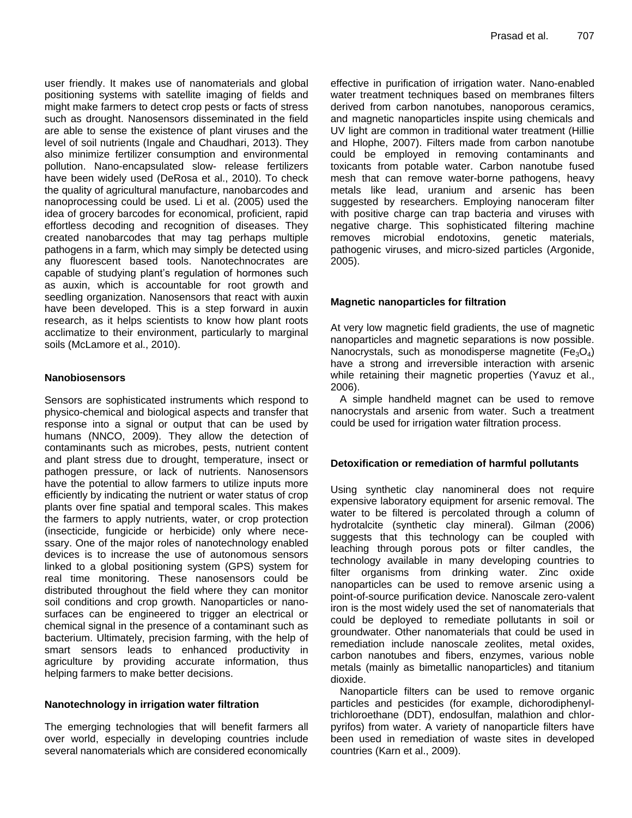user friendly. It makes use of nanomaterials and global positioning systems with satellite imaging of fields and might make farmers to detect crop pests or facts of stress such as drought. Nanosensors disseminated in the field are able to sense the existence of plant viruses and the level of soil nutrients (Ingale and Chaudhari, 2013). They also minimize fertilizer consumption and environmental pollution. Nano-encapsulated slow- release fertilizers have been widely used (DeRosa et al., 2010). To check the quality of agricultural manufacture, nanobarcodes and nanoprocessing could be used. Li et al. (2005) used the idea of grocery barcodes for economical, proficient, rapid effortless decoding and recognition of diseases. They created nanobarcodes that may tag perhaps multiple pathogens in a farm, which may simply be detected using any fluorescent based tools. Nanotechnocrates are capable of studying plant's regulation of hormones such as auxin, which is accountable for root growth and seedling organization. Nanosensors that react with auxin have been developed. This is a step forward in auxin research, as it helps scientists to know how plant roots acclimatize to their environment, particularly to marginal soils (McLamore et al., 2010).

#### **Nanobiosensors**

Sensors are sophisticated instruments which respond to physico-chemical and biological aspects and transfer that response into a signal or output that can be used by humans (NNCO, 2009). They allow the detection of contaminants such as microbes, pests, nutrient content and plant stress due to drought, temperature, insect or pathogen pressure, or lack of nutrients. Nanosensors have the potential to allow farmers to utilize inputs more efficiently by indicating the nutrient or water status of crop plants over fine spatial and temporal scales. This makes the farmers to apply nutrients, water, or crop protection (insecticide, fungicide or herbicide) only where necessary. One of the major roles of nanotechnology enabled devices is to increase the use of autonomous sensors linked to a global positioning system (GPS) system for real time monitoring. These nanosensors could be distributed throughout the field where they can monitor soil conditions and crop growth. Nanoparticles or nanosurfaces can be engineered to trigger an electrical or chemical signal in the presence of a contaminant such as bacterium. Ultimately, precision farming, with the help of smart sensors leads to enhanced productivity in agriculture by providing accurate information, thus helping farmers to make better decisions.

#### **Nanotechnology in irrigation water filtration**

The emerging technologies that will benefit farmers all over world, especially in developing countries include several nanomaterials which are considered economically effective in purification of irrigation water. Nano-enabled water treatment techniques based on membranes filters derived from carbon nanotubes, nanoporous ceramics, and magnetic nanoparticles inspite using chemicals and UV light are common in traditional water treatment (Hillie and Hlophe, 2007). Filters made from carbon nanotube could be employed in removing contaminants and toxicants from potable water. Carbon nanotube fused mesh that can remove water-borne pathogens, heavy metals like lead, uranium and arsenic has been suggested by researchers. Employing nanoceram filter with positive charge can trap bacteria and viruses with negative charge. This sophisticated filtering machine removes microbial endotoxins, genetic materials, pathogenic viruses, and micro-sized particles (Argonide, 2005).

#### **Magnetic nanoparticles for filtration**

At very low magnetic field gradients, the use of magnetic nanoparticles and magnetic separations is now possible. Nanocrystals, such as monodisperse magnetite ( $Fe<sub>3</sub>O<sub>4</sub>$ ) have a strong and irreversible interaction with arsenic while retaining their magnetic properties (Yavuz et al., 2006).

A simple handheld magnet can be used to remove nanocrystals and arsenic from water. Such a treatment could be used for irrigation water filtration process.

#### **Detoxification or remediation of harmful pollutants**

Using synthetic clay nanomineral does not require expensive laboratory equipment for arsenic removal. The water to be filtered is percolated through a column of hydrotalcite (synthetic clay mineral). Gilman (2006) suggests that this technology can be coupled with leaching through porous pots or filter candles, the technology available in many developing countries to filter organisms from drinking water. Zinc oxide nanoparticles can be used to remove arsenic using a point-of-source purification device. Nanoscale zero-valent iron is the most widely used the set of nanomaterials that could be deployed to remediate pollutants in soil or groundwater. Other nanomaterials that could be used in remediation include nanoscale zeolites, metal oxides, carbon nanotubes and fibers, enzymes, various noble metals (mainly as bimetallic nanoparticles) and titanium dioxide.

Nanoparticle filters can be used to remove organic particles and pesticides (for example, dichorodiphenyltrichloroethane (DDT), endosulfan, malathion and chlorpyrifos) from water. A variety of nanoparticle filters have been used in remediation of waste sites in developed countries (Karn et al., 2009).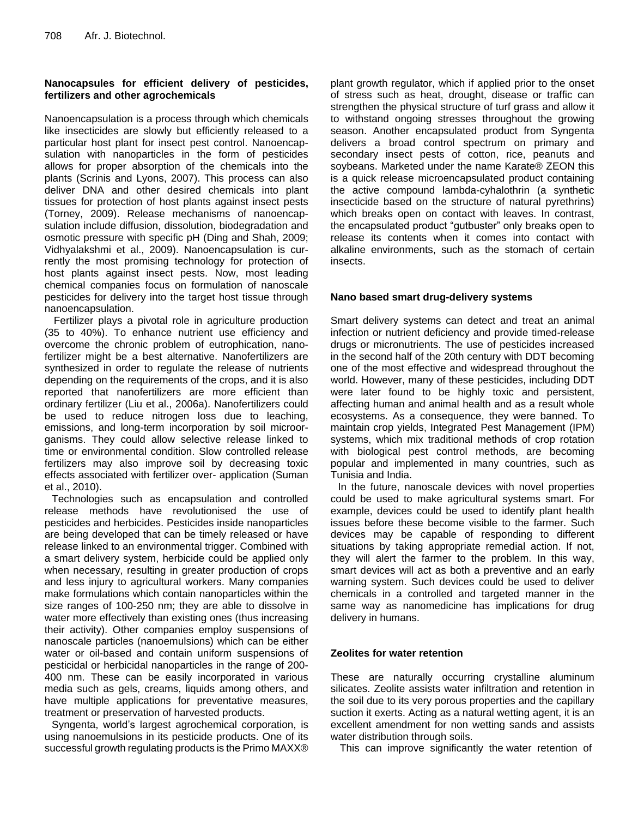#### **Nanocapsules for efficient delivery of pesticides, fertilizers and other agrochemicals**

Nanoencapsulation is a process through which chemicals like insecticides are slowly but efficiently released to a particular host plant for insect pest control. Nanoencapsulation with nanoparticles in the form of pesticides allows for proper absorption of the chemicals into the plants (Scrinis and Lyons, 2007). This process can also deliver DNA and other desired chemicals into plant tissues for protection of host plants against insect pests (Torney, 2009). Release mechanisms of nanoencapsulation include diffusion, dissolution, biodegradation and osmotic pressure with specific pH (Ding and Shah, 2009; Vidhyalakshmi et al., 2009). Nanoencapsulation is currently the most promising technology for protection of host plants against insect pests. Now, most leading chemical companies focus on formulation of nanoscale pesticides for delivery into the target host tissue through nanoencapsulation.

Fertilizer plays a pivotal role in agriculture production (35 to 40%). To enhance nutrient use efficiency and overcome the chronic problem of eutrophication, nanofertilizer might be a best alternative. Nanofertilizers are synthesized in order to regulate the release of nutrients depending on the requirements of the crops, and it is also reported that nanofertilizers are more efficient than ordinary fertilizer (Liu et al., 2006a). Nanofertilizers could be used to reduce nitrogen loss due to leaching, emissions, and long-term incorporation by soil microorganisms. They could allow selective release linked to time or environmental condition. Slow controlled release fertilizers may also improve soil by decreasing toxic effects associated with fertilizer over- application (Suman et al., 2010).

Technologies such as encapsulation and controlled release methods have revolutionised the use of pesticides and herbicides. Pesticides inside nanoparticles are being developed that can be timely released or have release linked to an environmental trigger. Combined with a smart delivery system, herbicide could be applied only when necessary, resulting in greater production of crops and less injury to agricultural workers. Many companies make formulations which contain nanoparticles within the size ranges of 100-250 nm; they are able to dissolve in water more effectively than existing ones (thus increasing their activity). Other companies employ suspensions of nanoscale particles (nanoemulsions) which can be either water or oil-based and contain uniform suspensions of pesticidal or herbicidal nanoparticles in the range of 200- 400 nm. These can be easily incorporated in various media such as gels, creams, liquids among others, and have multiple applications for preventative measures, treatment or preservation of harvested products.

Syngenta, world's largest agrochemical corporation, is using nanoemulsions in its pesticide products. One of its successful growth regulating products is the Primo MAXX® plant growth regulator, which if applied prior to the onset of stress such as heat, drought, disease or traffic can strengthen the physical structure of turf grass and allow it to withstand ongoing stresses throughout the growing season. Another encapsulated product from Syngenta delivers a broad control spectrum on primary and secondary insect pests of cotton, rice, peanuts and soybeans. Marketed under the name Karate® ZEON this is a quick release microencapsulated product containing the active compound lambda-cyhalothrin (a synthetic insecticide based on the structure of natural pyrethrins) which breaks open on contact with leaves. In contrast, the encapsulated product "gutbuster" only breaks open to release its contents when it comes into contact with alkaline environments, such as the stomach of certain insects.

#### **Nano based smart drug-delivery systems**

Smart delivery systems can detect and treat an animal infection or nutrient deficiency and provide timed-release drugs or micronutrients. The use of pesticides increased in the second half of the 20th century with DDT becoming one of the most effective and widespread throughout the world. However, many of these pesticides, including DDT were later found to be highly toxic and persistent, affecting human and animal health and as a result whole ecosystems. As a consequence, they were banned. To maintain crop yields, Integrated Pest Management (IPM) systems, which mix traditional methods of crop rotation with biological pest control methods, are becoming popular and implemented in many countries, such as Tunisia and India.

In the future, nanoscale devices with novel properties could be used to make agricultural systems smart. For example, devices could be used to identify plant health issues before these become visible to the farmer. Such devices may be capable of responding to different situations by taking appropriate remedial action. If not, they will alert the farmer to the problem. In this way, smart devices will act as both a preventive and an early warning system. Such devices could be used to deliver chemicals in a controlled and targeted manner in the same way as nanomedicine has implications for drug delivery in humans.

#### **Zeolites for water retention**

These are naturally occurring crystalline aluminum silicates. Zeolite assists water infiltration and retention in the soil due to its very porous properties and the capillary suction it exerts. Acting as a natural wetting agent, it is an excellent amendment for non wetting sands and assists water distribution through soils.

This can improve significantly the water retention of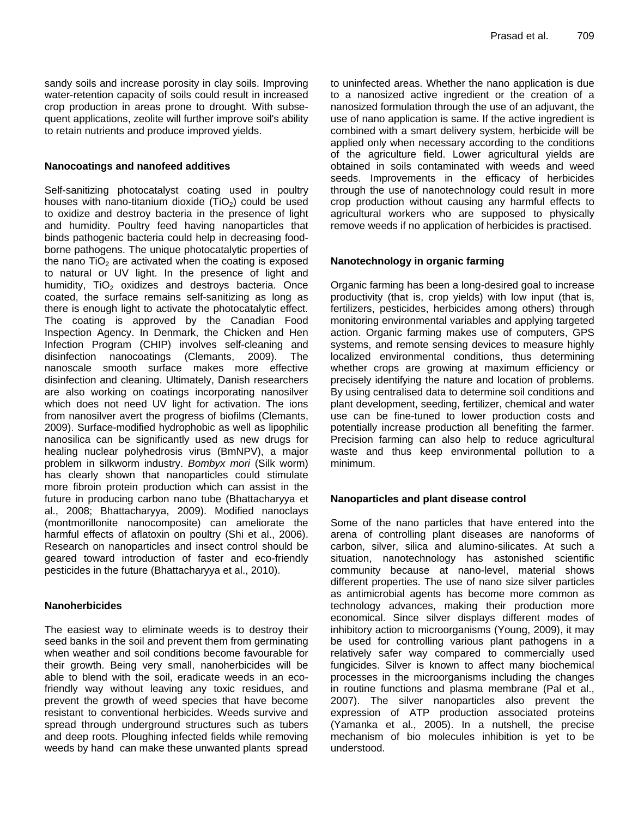sandy soils and increase porosity in clay soils. Improving water-retention capacity of soils could result in increased crop production in areas prone to drought. With subsequent applications, zeolite will further improve soil's ability to retain nutrients and produce improved yields.

#### **Nanocoatings and nanofeed additives**

Self-sanitizing photocatalyst coating used in poultry houses with nano-titanium dioxide  $(TiO<sub>2</sub>)$  could be used to oxidize and destroy bacteria in the presence of light and humidity. Poultry feed having nanoparticles that binds pathogenic bacteria could help in decreasing foodborne pathogens. The unique photocatalytic properties of the nano  $TiO<sub>2</sub>$  are activated when the coating is exposed to natural or UV light. In the presence of light and humidity,  $TiO<sub>2</sub>$  oxidizes and destroys bacteria. Once coated, the surface remains self-sanitizing as long as there is enough light to activate the photocatalytic effect. The coating is approved by the Canadian Food Inspection Agency. In Denmark, the Chicken and Hen Infection Program (CHIP) involves self-cleaning and disinfection nanocoatings (Clemants, 2009). The nanoscale smooth surface makes more effective disinfection and cleaning. Ultimately, Danish researchers are also working on coatings incorporating nanosilver which does not need UV light for activation. The ions from nanosilver avert the progress of biofilms (Clemants, 2009). Surface-modified hydrophobic as well as lipophilic nanosilica can be significantly used as new drugs for healing nuclear polyhedrosis virus (BmNPV), a major problem in silkworm industry. *Bombyx mori* (Silk worm) has clearly shown that nanoparticles could stimulate more fibroin protein production which can assist in the future in producing carbon nano tube (Bhattacharyya et al., 2008; Bhattacharyya, 2009). Modified nanoclays (montmorillonite nanocomposite) can ameliorate the harmful effects of aflatoxin on poultry (Shi et al., 2006). Research on nanoparticles and insect control should be geared toward introduction of faster and eco-friendly pesticides in the future (Bhattacharyya et al., 2010).

#### **Nanoherbicides**

The easiest way to eliminate weeds is to destroy their seed banks in the soil and prevent them from germinating when weather and soil conditions become favourable for their growth. Being very small, nanoherbicides will be able to blend with the soil, eradicate weeds in an ecofriendly way without leaving any toxic residues, and prevent the growth of weed species that have become resistant to conventional herbicides. Weeds survive and spread through underground structures such as tubers and deep roots. Ploughing infected fields while removing weeds by hand can make these unwanted plants spread to uninfected areas. Whether the nano application is due to a nanosized active ingredient or the creation of a nanosized formulation through the use of an adjuvant, the use of nano application is same. If the active ingredient is combined with a smart delivery system, herbicide will be applied only when necessary according to the conditions of the agriculture field. Lower agricultural yields are obtained in soils contaminated with weeds and weed seeds. Improvements in the efficacy of herbicides through the use of nanotechnology could result in more crop production without causing any harmful effects to agricultural workers who are supposed to physically remove weeds if no application of herbicides is practised.

#### **Nanotechnology in organic farming**

Organic farming has been a long-desired goal to increase productivity (that is, crop yields) with low input (that is, fertilizers, pesticides, herbicides among others) through monitoring environmental variables and applying targeted action. Organic farming makes use of computers, GPS systems, and remote sensing devices to measure highly localized environmental conditions, thus determining whether crops are growing at maximum efficiency or precisely identifying the nature and location of problems. By using centralised data to determine soil conditions and plant development, seeding, fertilizer, chemical and water use can be fine-tuned to lower production costs and potentially increase production all benefiting the farmer. Precision farming can also help to reduce agricultural waste and thus keep environmental pollution to a minimum.

#### **Nanoparticles and plant disease control**

Some of the nano particles that have entered into the arena of controlling plant diseases are nanoforms of carbon, silver, silica and alumino-silicates. At such a situation, nanotechnology has astonished scientific community because at nano-level, material shows different properties. The use of nano size silver particles as antimicrobial agents has become more common as technology advances, making their production more economical. Since silver displays different modes of inhibitory action to microorganisms (Young, 2009), it may be used for controlling various plant pathogens in a relatively safer way compared to commercially used fungicides. Silver is known to affect many biochemical processes in the microorganisms including the changes in routine functions and plasma membrane (Pal et al., 2007). The silver nanoparticles also prevent the expression of ATP production associated proteins (Yamanka et al., 2005). In a nutshell, the precise mechanism of bio molecules inhibition is yet to be understood.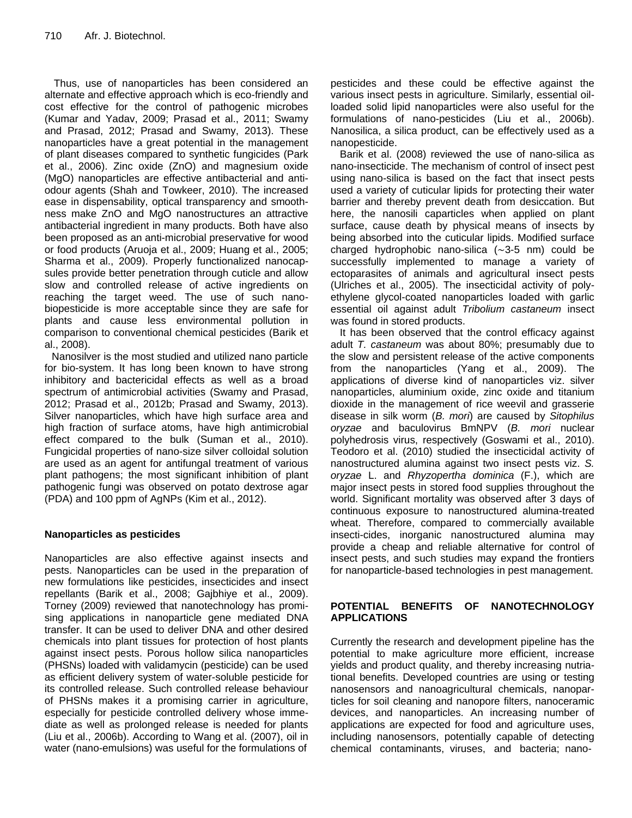Thus, use of nanoparticles has been considered an alternate and effective approach which is eco-friendly and cost effective for the control of pathogenic microbes (Kumar and Yadav, 2009; Prasad et al., 2011; Swamy and Prasad, 2012; Prasad and Swamy, 2013). These nanoparticles have a great potential in the management of plant diseases compared to synthetic fungicides (Park et al., 2006). Zinc oxide (ZnO) and magnesium oxide (MgO) nanoparticles are effective antibacterial and antiodour agents (Shah and Towkeer, 2010). The increased ease in dispensability, optical transparency and smoothness make ZnO and MgO nanostructures an attractive antibacterial ingredient in many products. Both have also been proposed as an anti-microbial preservative for wood or food products (Aruoja et al., 2009; Huang et al., 2005; Sharma et al., 2009). Properly functionalized nanocapsules provide better penetration through cuticle and allow slow and controlled release of active ingredients on reaching the target weed. The use of such nanobiopesticide is more acceptable since they are safe for plants and cause less environmental pollution in comparison to conventional chemical pesticides (Barik et al., 2008).

Nanosilver is the most studied and utilized nano particle for bio-system. It has long been known to have strong inhibitory and bactericidal effects as well as a broad spectrum of antimicrobial activities (Swamy and Prasad, 2012; Prasad et al., 2012b; Prasad and Swamy, 2013). Silver nanoparticles, which have high surface area and high fraction of surface atoms, have high antimicrobial effect compared to the bulk (Suman et al., 2010). Fungicidal properties of nano-size silver colloidal solution are used as an agent for antifungal treatment of various plant pathogens; the most significant inhibition of plant pathogenic fungi was observed on potato dextrose agar (PDA) and 100 ppm of AgNPs (Kim et al., 2012).

# **Nanoparticles as pesticides**

Nanoparticles are also effective against insects and pests. Nanoparticles can be used in the preparation of new formulations like pesticides, insecticides and insect repellants (Barik et al., 2008; Gajbhiye et al., 2009). Torney (2009) reviewed that nanotechnology has promising applications in nanoparticle gene mediated DNA transfer. It can be used to deliver DNA and other desired chemicals into plant tissues for protection of host plants against insect pests. Porous hollow silica nanoparticles (PHSNs) loaded with validamycin (pesticide) can be used as efficient delivery system of water-soluble pesticide for its controlled release. Such controlled release behaviour of PHSNs makes it a promising carrier in agriculture, especially for pesticide controlled delivery whose immediate as well as prolonged release is needed for plants (Liu et al., 2006b). According to Wang et al. (2007), oil in water (nano-emulsions) was useful for the formulations of

pesticides and these could be effective against the various insect pests in agriculture. Similarly, essential oilloaded solid lipid nanoparticles were also useful for the formulations of nano-pesticides (Liu et al., 2006b). Nanosilica, a silica product, can be effectively used as a nanopesticide.

Barik et al. (2008) reviewed the use of nano-silica as nano-insecticide. The mechanism of control of insect pest using nano-silica is based on the fact that insect pests used a variety of cuticular lipids for protecting their water barrier and thereby prevent death from desiccation. But here, the nanosili caparticles when applied on plant surface, cause death by physical means of insects by being absorbed into the cuticular lipids. Modified surface charged hydrophobic nano-silica (∼3-5 nm) could be successfully implemented to manage a variety of ectoparasites of animals and agricultural insect pests (Ulriches et al., 2005). The insecticidal activity of polyethylene glycol-coated nanoparticles loaded with garlic essential oil against adult *Tribolium castaneum* insect was found in stored products.

It has been observed that the control efficacy against adult *T. castaneum* was about 80%; presumably due to the slow and persistent release of the active components from the nanoparticles (Yang et al., 2009). The applications of diverse kind of nanoparticles viz. silver nanoparticles, aluminium oxide, zinc oxide and titanium dioxide in the management of rice weevil and grasserie disease in silk worm (*B. mori*) are caused by *Sitophilus oryzae* and baculovirus BmNPV (*B. mori* nuclear polyhedrosis virus, respectively (Goswami et al., 2010). Teodoro et al. (2010) studied the insecticidal activity of nanostructured alumina against two insect pests viz. *S. oryzae* L. and *Rhyzopertha dominica* (F.), which are major insect pests in stored food supplies throughout the world. Significant mortality was observed after 3 days of continuous exposure to nanostructured alumina-treated wheat. Therefore, compared to commercially available insecti-cides, inorganic nanostructured alumina may provide a cheap and reliable alternative for control of insect pests, and such studies may expand the frontiers for nanoparticle-based technologies in pest management.

# **POTENTIAL BENEFITS OF NANOTECHNOLOGY APPLICATIONS**

Currently the research and development pipeline has the potential to make agriculture more efficient, increase yields and product quality, and thereby increasing nutriational benefits. Developed countries are using or testing nanosensors and nanoagricultural chemicals, nanoparticles for soil cleaning and nanopore filters, nanoceramic devices, and nanoparticles. An increasing number of applications are expected for food and agriculture uses, including nanosensors, potentially capable of detecting chemical contaminants, viruses, and bacteria; nano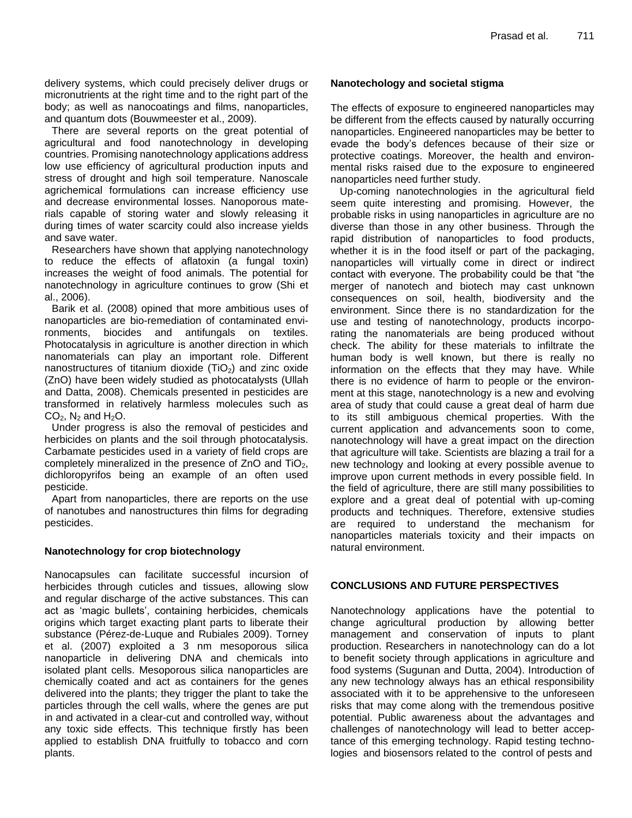delivery systems, which could precisely deliver drugs or micronutrients at the right time and to the right part of the body; as well as nanocoatings and films, nanoparticles, and quantum dots (Bouwmeester et al., 2009).

There are several reports on the great potential of agricultural and food nanotechnology in developing countries. Promising nanotechnology applications address low use efficiency of agricultural production inputs and stress of drought and high soil temperature. Nanoscale agrichemical formulations can increase efficiency use and decrease environmental losses. Nanoporous materials capable of storing water and slowly releasing it during times of water scarcity could also increase yields and save water.

Researchers have shown that applying nanotechnology to reduce the effects of aflatoxin (a fungal toxin) increases the weight of food animals. The potential for nanotechnology in agriculture continues to grow (Shi et al., 2006).

Barik et al. (2008) opined that more ambitious uses of nanoparticles are bio-remediation of contaminated environments, biocides and antifungals on textiles. Photocatalysis in agriculture is another direction in which nanomaterials can play an important role. Different nanostructures of titanium dioxide (TiO<sub>2</sub>) and zinc oxide (ZnO) have been widely studied as photocatalysts (Ullah and Datta, 2008). Chemicals presented in pesticides are transformed in relatively harmless molecules such as  $CO<sub>2</sub>$ , N<sub>2</sub> and H<sub>2</sub>O.

Under progress is also the removal of pesticides and herbicides on plants and the soil through photocatalysis. Carbamate pesticides used in a variety of field crops are completely mineralized in the presence of  $ZnO$  and  $TiO<sub>2</sub>$ , dichloropyrifos being an example of an often used pesticide.

Apart from nanoparticles, there are reports on the use of nanotubes and nanostructures thin films for degrading pesticides.

#### **Nanotechnology for crop biotechnology**

Nanocapsules can facilitate successful incursion of herbicides through cuticles and tissues, allowing slow and regular discharge of the active substances. This can act as 'magic bullets', containing herbicides, chemicals origins which target exacting plant parts to liberate their substance (Pérez-de-Luque and Rubiales 2009). Torney et al. (2007) exploited a 3 nm mesoporous silica nanoparticle in delivering DNA and chemicals into isolated plant cells. Mesoporous silica nanoparticles are chemically coated and act as containers for the genes delivered into the plants; they trigger the plant to take the particles through the cell walls, where the genes are put in and activated in a clear-cut and controlled way, without any toxic side effects. This technique firstly has been applied to establish DNA fruitfully to tobacco and corn plants.

#### **Nanotechology and societal stigma**

The effects of exposure to engineered nanoparticles may be different from the effects caused by naturally occurring nanoparticles. Engineered nanoparticles may be better to evade the body's defences because of their size or protective coatings. Moreover, the health and environmental risks raised due to the exposure to engineered nanoparticles need further study.

Up-coming nanotechnologies in the agricultural field seem quite interesting and promising. However, the probable risks in using nanoparticles in agriculture are no diverse than those in any other business. Through the rapid distribution of nanoparticles to food products, whether it is in the food itself or part of the packaging, nanoparticles will virtually come in direct or indirect contact with everyone. The probability could be that "the merger of nanotech and biotech may cast unknown consequences on soil, health, biodiversity and the environment. Since there is no standardization for the use and testing of nanotechnology, products incorporating the nanomaterials are being produced without check. The ability for these materials to infiltrate the human body is well known, but there is really no information on the effects that they may have. While there is no evidence of harm to people or the environment at this stage, nanotechnology is a new and evolving area of study that could cause a great deal of harm due to its still ambiguous chemical properties. With the current application and advancements soon to come, nanotechnology will have a great impact on the direction that agriculture will take. Scientists are blazing a trail for a new technology and looking at every possible avenue to improve upon current methods in every possible field. In the field of agriculture, there are still many possibilities to explore and a great deal of potential with up-coming products and techniques. Therefore, extensive studies are required to understand the mechanism for nanoparticles materials toxicity and their impacts on natural environment.

# **CONCLUSIONS AND FUTURE PERSPECTIVES**

Nanotechnology applications have the potential to change agricultural production by allowing better management and conservation of inputs to plant production. Researchers in nanotechnology can do a lot to benefit society through applications in agriculture and food systems (Sugunan and Dutta, 2004). Introduction of any new technology always has an ethical responsibility associated with it to be apprehensive to the unforeseen risks that may come along with the tremendous positive potential. Public awareness about the advantages and challenges of nanotechnology will lead to better acceptance of this emerging technology. Rapid testing technologies and biosensors related to the control of pests and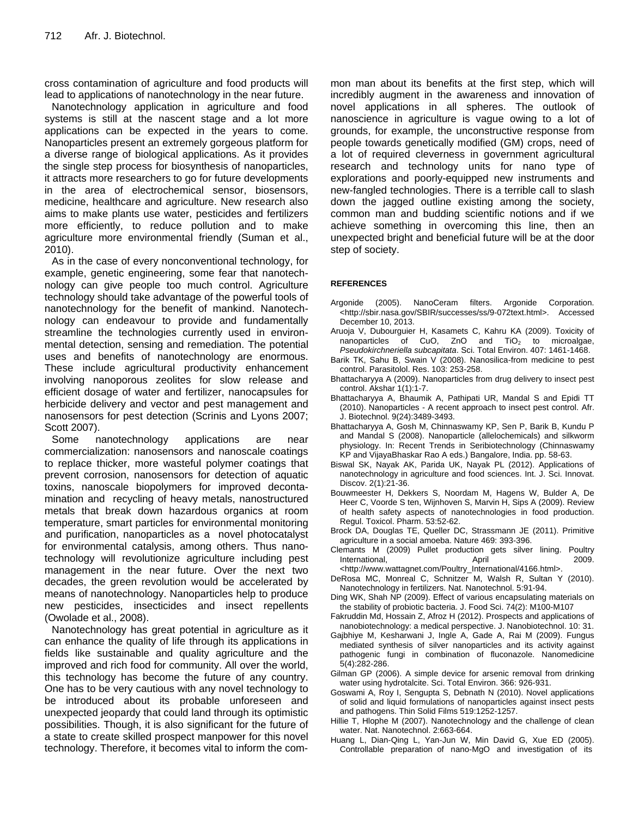cross contamination of agriculture and food products will lead to applications of nanotechnology in the near future.

Nanotechnology application in agriculture and food systems is still at the nascent stage and a lot more applications can be expected in the years to come. Nanoparticles present an extremely gorgeous platform for a diverse range of biological applications. As it provides the single step process for biosynthesis of nanoparticles, it attracts more researchers to go for future developments in the area of electrochemical sensor, biosensors, medicine, healthcare and agriculture. New research also aims to make plants use water, pesticides and fertilizers more efficiently, to reduce pollution and to make agriculture more environmental friendly (Suman et al., 2010).

As in the case of every nonconventional technology, for example, genetic engineering, some fear that nanotechnology can give people too much control. Agriculture technology should take advantage of the powerful tools of nanotechnology for the benefit of mankind. Nanotechnology can endeavour to provide and fundamentally streamline the technologies currently used in environmental detection, sensing and remediation. The potential uses and benefits of nanotechnology are enormous. These include agricultural productivity enhancement involving nanoporous zeolites for slow release and efficient dosage of water and fertilizer, nanocapsules for herbicide delivery and vector and pest management and nanosensors for pest detection (Scrinis and Lyons 2007; Scott 2007).

Some nanotechnology applications are near commercialization: nanosensors and nanoscale coatings to replace thicker, more wasteful polymer coatings that prevent corrosion, nanosensors for detection of aquatic toxins, nanoscale biopolymers for improved decontamination and recycling of heavy metals, nanostructured metals that break down hazardous organics at room temperature, smart particles for environmental monitoring and purification, nanoparticles as a novel photocatalyst for environmental catalysis, among others. Thus nanotechnology will revolutionize agriculture including pest management in the near future. Over the next two decades, the green revolution would be accelerated by means of nanotechnology. Nanoparticles help to produce new pesticides, insecticides and insect repellents (Owolade et al., 2008).

Nanotechnology has great potential in agriculture as it can enhance the quality of life through its applications in fields like sustainable and quality agriculture and the improved and rich food for community. All over the world, this technology has become the future of any country. One has to be very cautious with any novel technology to be introduced about its probable unforeseen and unexpected jeopardy that could land through its optimistic possibilities. Though, it is also significant for the future of a state to create skilled prospect manpower for this novel technology. Therefore, it becomes vital to inform the common man about its benefits at the first step, which will incredibly augment in the awareness and innovation of novel applications in all spheres. The outlook of nanoscience in agriculture is vague owing to a lot of grounds, for example, the unconstructive response from people towards genetically modified (GM) crops, need of a lot of required cleverness in government agricultural research and technology units for nano type of explorations and poorly-equipped new instruments and new-fangled technologies. There is a terrible call to slash down the jagged outline existing among the society, common man and budding scientific notions and if we achieve something in overcoming this line, then an unexpected bright and beneficial future will be at the door step of society.

#### **REFERENCES**

- Argonide (2005). NanoCeram filters. Argonide Corporation. <http://sbir.nasa.gov/SBIR/successes/ss/9-072text.html>. Accessed December 10, 2013.
- Aruoja V, Dubourguier H, Kasamets C, Kahru KA (2009). Toxicity of nanoparticles of CuO, ZnO and  $TiO<sub>2</sub>$  to microalgae, *Pseudokirchneriella subcapitata*. Sci. Total Environ. 407: 1461-1468.
- Barik TK, Sahu B, Swain V (2008). Nanosilica-from medicine to pest control. Parasitolol. Res. 103: 253-258.
- Bhattacharyya A (2009). Nanoparticles from drug delivery to insect pest control. Akshar 1(1):1-7.
- Bhattacharyya A, Bhaumik A, Pathipati UR, Mandal S and Epidi TT (2010). Nanoparticles - A recent approach to insect pest control. Afr. J. Biotechnol. 9(24):3489-3493.
- Bhattacharyya A, Gosh M, Chinnaswamy KP, Sen P, Barik B, Kundu P and Mandal S (2008). Nanoparticle (allelochemicals) and silkworm physiology. In: Recent Trends in Seribiotechnology (Chinnaswamy KP and VijayaBhaskar Rao A eds.) Bangalore, India. pp. 58-63.
- Biswal SK, Nayak AK, Parida UK, Nayak PL (2012). Applications of nanotechnology in agriculture and food sciences. Int. J. Sci. Innovat. Discov. 2(1):21-36.
- Bouwmeester H, Dekkers S, Noordam M, Hagens W, Bulder A, De Heer C, Voorde S ten, Wijnhoven S, Marvin H, Sips A (2009). Review of health safety aspects of nanotechnologies in food production. Regul. Toxicol. Pharm. 53:52-62.
- Brock DA, Douglas TE, Queller DC, Strassmann JE (2011). Primitive agriculture in a social amoeba. Nature 469: 393-396.
- Clemants M (2009) Pullet production gets silver lining. Poultry International, and April 2009.
	- <http://www.wattagnet.com/Poultry\_International/4166.html>.
- DeRosa MC, Monreal C, Schnitzer M, Walsh R, Sultan Y (2010). Nanotechnology in fertilizers. Nat. Nanotechnol. 5:91-94.
- Ding WK, Shah NP (2009). Effect of various encapsulating materials on the stability of probiotic bacteria. J. Food Sci. 74(2): M100-M107
- Fakruddin Md, Hossain Z, Afroz H (2012). Prospects and applications of nanobiotechnology: a medical perspective. J. Nanobiotechnol. 10: 31.
- Gajbhiye M, Kesharwani J, Ingle A, Gade A, Rai M (2009). Fungus mediated synthesis of silver nanoparticles and its activity against pathogenic fungi in combination of fluconazole. Nanomedicine 5(4):282-286.
- Gilman GP (2006). A simple device for arsenic removal from drinking water using hydrotalcite. Sci. Total Environ. 366: 926-931.
- Goswami A, Roy I, Sengupta S, Debnath N (2010). Novel applications of solid and liquid formulations of nanoparticles against insect pests and pathogens. Thin Solid Films 519:1252-1257.
- Hillie T, Hlophe M (2007). Nanotechnology and the challenge of clean water. Nat. Nanotechnol. 2:663-664.
- Huang L, Dian-Qing L, Yan-Jun W, Min David G, Xue ED (2005). Controllable preparation of nano-MgO and investigation of its